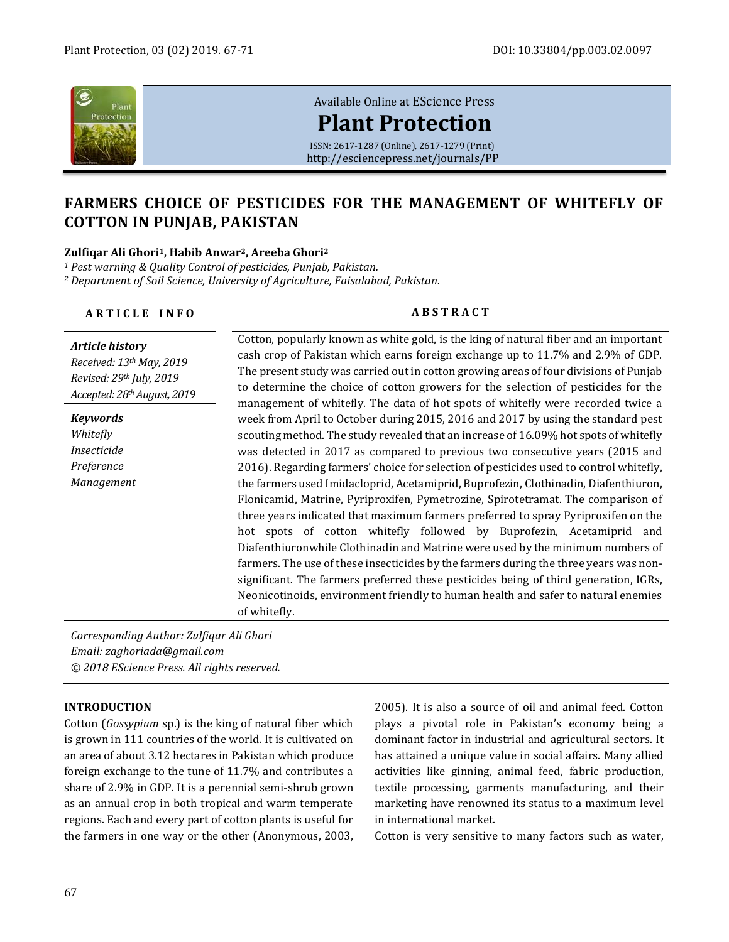

# [Available Online at](http://esciencepress.net/journals/PP) EScience Press **[Plant Protection](http://esciencepress.net/journals/PP)**

ISSN: 2617-1287 (Online), 2617-1279 (Print) <http://esciencepress.net/journals/PP>

# **FARMERS CHOICE OF PESTICIDES FOR THE MANAGEMENT OF WHITEFLY OF COTTON IN PUNJAB, PAKISTAN**

#### **Zulfiqar Ali Ghori1, Habib Anwar2, Areeba Ghori<sup>2</sup>**

*<sup>1</sup> Pest warning & Quality Control of pesticides, Punjab, Pakistan. <sup>2</sup> Department of Soil Science, University of Agriculture, Faisalabad, Pakistan.*

| ARTICLE INFO                                                                                                  | <b>ABSTRACT</b>                                                                                                                                                                                                                                                                                                                                                                                                                                                                                                                                                                                                                                                                                                                                                                                                                                                                                                                                                                                                                                                    |  |  |  |
|---------------------------------------------------------------------------------------------------------------|--------------------------------------------------------------------------------------------------------------------------------------------------------------------------------------------------------------------------------------------------------------------------------------------------------------------------------------------------------------------------------------------------------------------------------------------------------------------------------------------------------------------------------------------------------------------------------------------------------------------------------------------------------------------------------------------------------------------------------------------------------------------------------------------------------------------------------------------------------------------------------------------------------------------------------------------------------------------------------------------------------------------------------------------------------------------|--|--|--|
| <b>Article history</b><br>Received: 13th May, 2019<br>Revised: 29th July, 2019<br>Accepted: 28th August, 2019 | Cotton, popularly known as white gold, is the king of natural fiber and an important<br>cash crop of Pakistan which earns foreign exchange up to 11.7% and 2.9% of GDP.<br>The present study was carried out in cotton growing areas of four divisions of Punjab<br>to determine the choice of cotton growers for the selection of pesticides for the<br>management of whitefly. The data of hot spots of whitefly were recorded twice a                                                                                                                                                                                                                                                                                                                                                                                                                                                                                                                                                                                                                           |  |  |  |
| <b>Keywords</b><br>Whitefly<br>Insecticide<br>Preference<br>Management                                        | week from April to October during 2015, 2016 and 2017 by using the standard pest<br>scouting method. The study revealed that an increase of 16.09% hot spots of whitefly<br>was detected in 2017 as compared to previous two consecutive years (2015 and<br>2016). Regarding farmers' choice for selection of pesticides used to control whitefly,<br>the farmers used Imidacloprid, Acetamiprid, Buprofezin, Clothinadin, Diafenthiuron,<br>Flonicamid, Matrine, Pyriproxifen, Pymetrozine, Spirotetramat. The comparison of<br>three years indicated that maximum farmers preferred to spray Pyriproxifen on the<br>hot spots of cotton whitefly followed by Buprofezin, Acetamiprid and<br>Diafenthiuronwhile Clothinadin and Matrine were used by the minimum numbers of<br>farmers. The use of these insecticides by the farmers during the three years was non-<br>significant. The farmers preferred these pesticides being of third generation, IGRs,<br>Neonicotinoids, environment friendly to human health and safer to natural enemies<br>of whitefly. |  |  |  |

*Corresponding Author: Zulfiqar Ali Ghori Email: zaghoriada@gmail.com © 2018 EScience Press. All rights reserved.*

### **INTRODUCTION**

Cotton (*Gossypium* sp.) is the king of natural fiber which is grown in 111 countries of the world. It is cultivated on an area of about 3.12 hectares in Pakistan which produce foreign exchange to the tune of 11.7% and contributes a share of 2.9% in GDP. It is a perennial semi-shrub grown as an annual crop in both tropical and warm temperate regions. Each and every part of cotton plants is useful for the farmers in one way or the other (Anonymous, 2003, 2005). It is also a source of oil and animal feed. Cotton plays a pivotal role in Pakistan's economy being a dominant factor in industrial and agricultural sectors. It has attained a unique value in social affairs. Many allied activities like ginning, animal feed, fabric production, textile processing, garments manufacturing, and their marketing have renowned its status to a maximum level in international market.

Cotton is very sensitive to many factors such as water,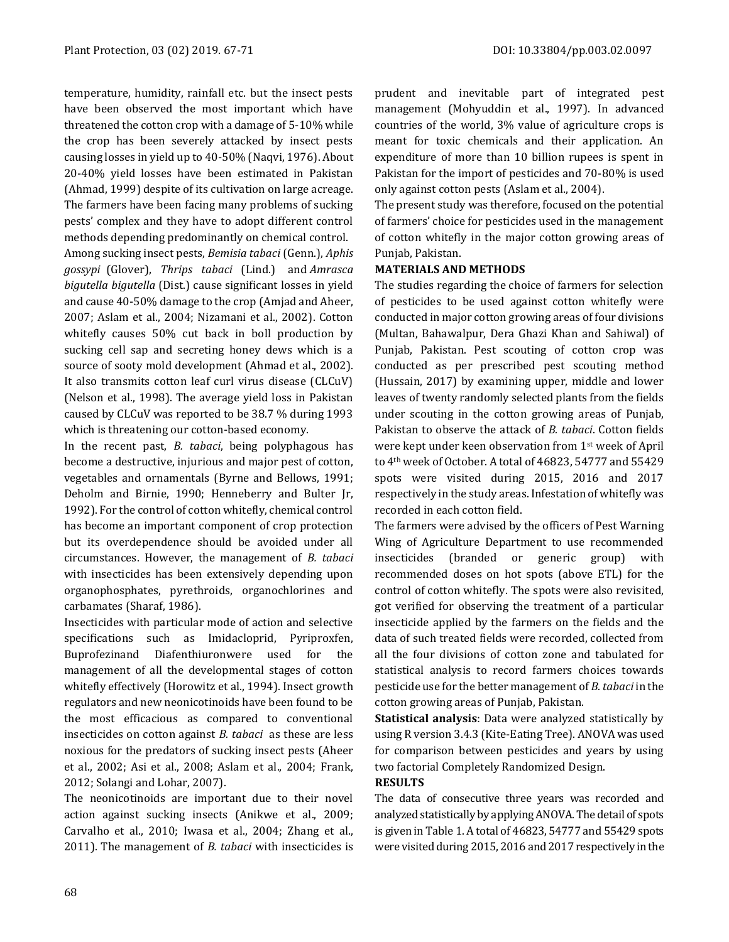temperature, humidity, rainfall etc. but the insect pests have been observed the most important which have threatened the cotton crop with a damage of 5-10% while the crop has been severely attacked by insect pests causing losses in yield up to 40-50% (Naqvi, 1976). About 20-40% yield losses have been estimated in Pakistan (Ahmad, 1999) despite of its cultivation on large acreage. The farmers have been facing many problems of sucking pests' complex and they have to adopt different control methods depending predominantly on chemical control.

Among sucking insect pests, *[Bemisia tabaci](https://www.sciencedirect.com/topics/agricultural-and-biological-sciences/silverleaf-whitefly)* (Genn.), *[Aphis](https://www.sciencedirect.com/topics/agricultural-and-biological-sciences/aphis-gossypii)  [gossypi](https://www.sciencedirect.com/topics/agricultural-and-biological-sciences/aphis-gossypii)* (Glover), *[Thrips](https://www.sciencedirect.com/topics/agricultural-and-biological-sciences/thrips) tabaci* (Lind.) and *Amrasca bigutella bigutella* (Dist.) cause significant losses in yield and cause 40-50% damage to the crop (Amjad and Aheer, 2007; Aslam et al., 2004; Nizamani et al., 2002). Cotton whitefly causes 50% cut back in boll production by sucking cell sap and secreting honey dews which is a source of sooty mold development (Ahmad et al., 2002). It also transmits cotton leaf curl virus disease (CLCuV) (Nelson et al., 1998). The average yield loss in Pakistan caused by CLCuV was reported to be 38.7 % during 1993 which is threatening our cotton-based economy.

In the recent past, *B. tabaci*, being polyphagous has become a destructive, injurious and major pest of cotton, vegetables and ornamentals (Byrne and Bellows, 1991; Deholm and Birnie, 1990; Henneberry and Bulter Jr, 1992). For the control of cotton whitefly, chemical control has become an important component of crop protection but its overdependence should be avoided under all circumstances. However, the management of *B. tabaci* with insecticides has been extensively depending upon organophosphates, pyrethroids, organochlorines and carbamates (Sharaf, 1986).

Insecticides with particular mode of action and selective specifications such as Imidacloprid, Pyriproxfen, Buprofezinand Diafenthiuronwere used for the management of all the developmental stages of cotton whitefly effectively (Horowitz et al., 1994). Insect growth regulators and new neonicotinoids have been found to be the most efficacious as compared to conventional insecticides on cotton against *B. tabaci* as these are less noxious for the predators of sucking insect pests (Aheer et al., 2002; Asi et al., 2008; Aslam et al., 2004; Frank, 2012; Solangi and Lohar, 2007).

The neonicotinoids are important due to their novel action against sucking insects (Anikwe et al., 2009; Carvalho et al., 2010; Iwasa et al., 2004; Zhang et al., 2011). The management of *B. tabaci* with insecticides is prudent and inevitable part of integrated pest management (Mohyuddin et al., 1997). In advanced countries of the world, 3% value of agriculture crops is meant for toxic chemicals and their application. An expenditure of more than 10 billion rupees is spent in Pakistan for the import of pesticides and 70-80% is used only against cotton pests (Aslam et al., 2004).

The present study was therefore, focused on the potential of farmers' choice for pesticides used in the management of cotton whitefly in the major cotton growing areas of Punjab, Pakistan.

## **MATERIALS AND METHODS**

The studies regarding the choice of farmers for selection of pesticides to be used against cotton whitefly were conducted in major cotton growing areas of four divisions (Multan, Bahawalpur, Dera Ghazi Khan and Sahiwal) of Punjab, Pakistan. Pest scouting of cotton crop was conducted as per prescribed pest scouting method (Hussain, 2017) by examining upper, middle and lower leaves of twenty randomly selected plants from the fields under scouting in the cotton growing areas of Punjab, Pakistan to observe the attack of *B. tabaci*. Cotton fields were kept under keen observation from 1st week of April to 4th week of October. A total of 46823, 54777 and 55429 spots were visited during 2015, 2016 and 2017 respectively in the study areas. Infestation of whitefly was recorded in each cotton field.

The farmers were advised by the officers of Pest Warning Wing of Agriculture Department to use recommended insecticides (branded or generic group) with recommended doses on hot spots (above ETL) for the control of cotton whitefly. The spots were also revisited, got verified for observing the treatment of a particular insecticide applied by the farmers on the fields and the data of such treated fields were recorded, collected from all the four divisions of cotton zone and tabulated for statistical analysis to record farmers choices towards pesticide use for the better management of *B. tabaci* in the cotton growing areas of Punjab, Pakistan.

**Statistical analysis**: Data were analyzed statistically by using R version 3.4.3 (Kite-Eating Tree). ANOVA was used for comparison between pesticides and years by using two factorial Completely Randomized Design.

# **RESULTS**

The data of consecutive three years was recorded and analyzed statistically by applying ANOVA. The detail of spots is given in Table 1. A total of 46823, 54777 and 55429 spots were visited during 2015, 2016 and 2017 respectively in the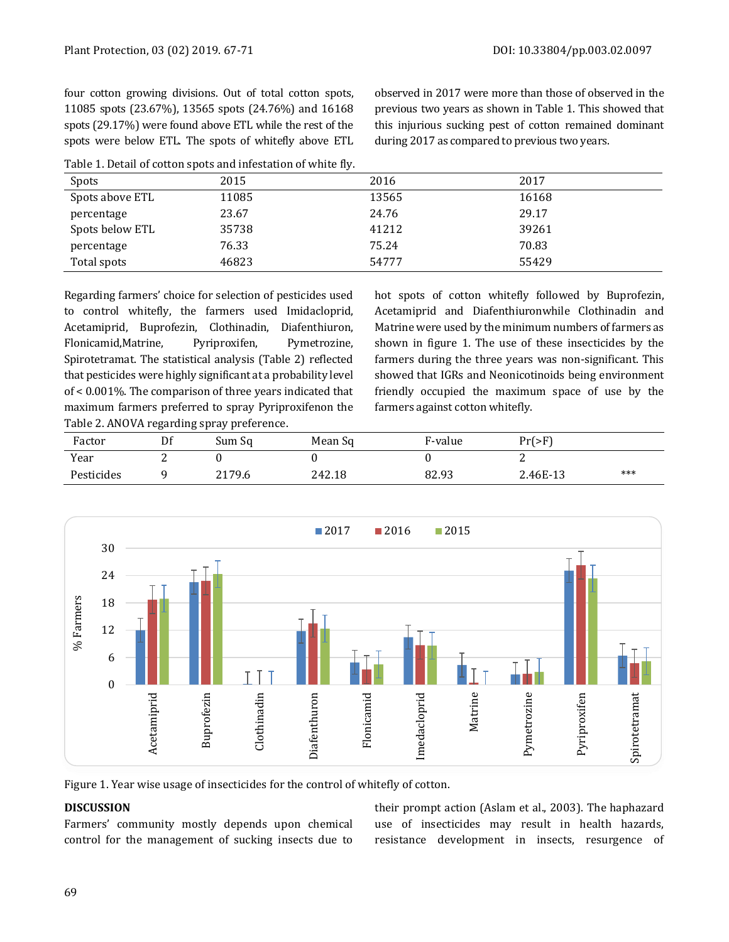four cotton growing divisions. Out of total cotton spots, 11085 spots (23.67%), 13565 spots (24.76%) and 16168 spots (29.17%) were found above ETL while the rest of the spots were below ETL. The spots of whitefly above ETL observed in 2017 were more than those of observed in the previous two years as shown in Table 1. This showed that this injurious sucking pest of cotton remained dominant during 2017 as compared to previous two years.

| Table 1. Detail of cotton spots and infestation of white fly. |  |  |
|---------------------------------------------------------------|--|--|
|---------------------------------------------------------------|--|--|

| Spots           | 2015  | 2016  | 2017  |
|-----------------|-------|-------|-------|
| Spots above ETL | 11085 | 13565 | 16168 |
| percentage      | 23.67 | 24.76 | 29.17 |
| Spots below ETL | 35738 | 41212 | 39261 |
| percentage      | 76.33 | 75.24 | 70.83 |
| Total spots     | 46823 | 54777 | 55429 |

Regarding farmers' choice for selection of pesticides used to control whitefly, the farmers used Imidacloprid, Acetamiprid, Buprofezin, Clothinadin, Diafenthiuron, Flonicamid,Matrine, Pyriproxifen, Pymetrozine, Spirotetramat. The statistical analysis (Table 2) reflected that pesticides were highly significant at a probability level of < 0.001%. The comparison of three years indicated that maximum farmers preferred to spray Pyriproxifenon the Table 2. ANOVA regarding spray preference.

hot spots of cotton whitefly followed by Buprofezin, Acetamiprid and Diafenthiuronwhile Clothinadin and Matrine were used by the minimum numbers of farmers as shown in figure 1. The use of these insecticides by the farmers during the three years was non-significant. This showed that IGRs and Neonicotinoids being environment friendly occupied the maximum space of use by the farmers against cotton whitefly.

| Factor     | Df | Sum Sq | Mean Sq | F-value | $Pr(>=F)$ |       |
|------------|----|--------|---------|---------|-----------|-------|
| Year       |    |        |         |         |           |       |
| Pesticides |    | 2179.6 | 242.18  | 82.93   | 2.46E-13  | $***$ |



Figure 1. Year wise usage of insecticides for the control of whitefly of cotton.

### **DISCUSSION**

Farmers' community mostly depends upon chemical control for the management of sucking insects due to their prompt action (Aslam et al., 2003). The haphazard use of insecticides may result in health hazards, resistance development in insects, resurgence of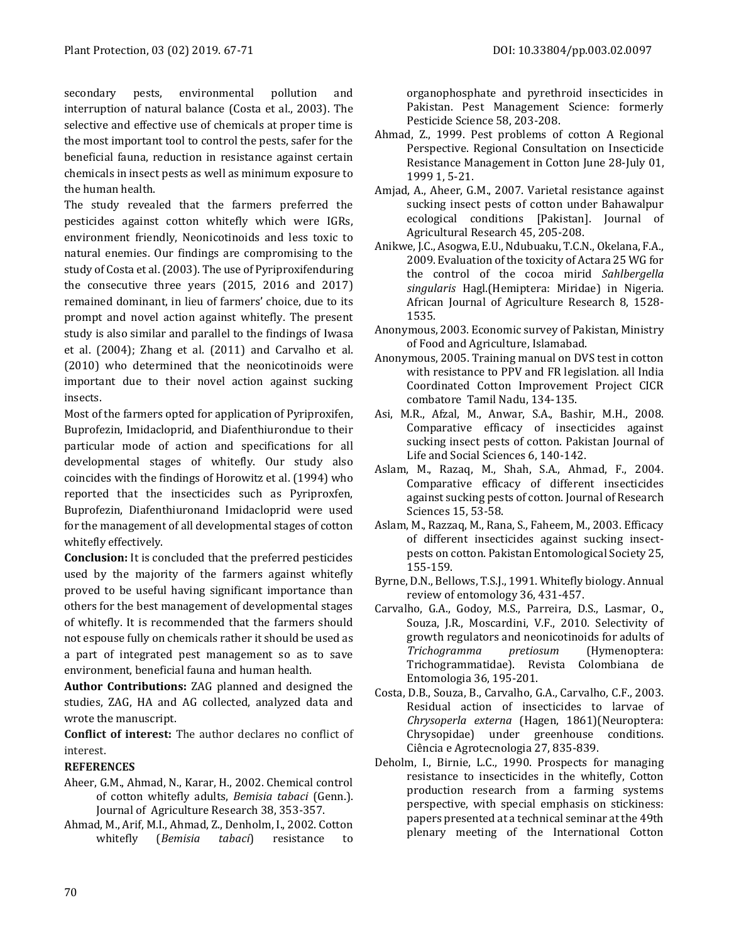secondary pests, environmental pollution and interruption of natural balance (Costa et al., 2003). The selective and effective use of chemicals at proper time is the most important tool to control the pests, safer for the beneficial fauna, reduction in resistance against certain chemicals in insect pests as well as minimum exposure to the human health.

The study revealed that the farmers preferred the pesticides against cotton whitefly which were IGRs, environment friendly, Neonicotinoids and less toxic to natural enemies. Our findings are compromising to the study of Costa et al. (2003). The use of Pyriproxifenduring the consecutive three years (2015, 2016 and 2017) remained dominant, in lieu of farmers' choice, due to its prompt and novel action against whitefly. The present study is also similar and parallel to the findings of Iwasa et al. (2004); Zhang et al. (2011) and Carvalho et al. (2010) who determined that the neonicotinoids were important due to their novel action against sucking insects.

Most of the farmers opted for application of Pyriproxifen, Buprofezin, Imidacloprid, and Diafenthiurondue to their particular mode of action and specifications for all developmental stages of whitefly. Our study also coincides with the findings of Horowitz et al. (1994) who reported that the insecticides such as Pyriproxfen, Buprofezin, Diafenthiuronand Imidacloprid were used for the management of all developmental stages of cotton whitefly effectively.

**Conclusion:** It is concluded that the preferred pesticides used by the majority of the farmers against whitefly proved to be useful having significant importance than others for the best management of developmental stages of whitefly. It is recommended that the farmers should not espouse fully on chemicals rather it should be used as a part of integrated pest management so as to save environment, beneficial fauna and human health.

**Author Contributions:** ZAG planned and designed the studies, ZAG, HA and AG collected, analyzed data and wrote the manuscript.

**Conflict of interest:** The author declares no conflict of interest.

#### **REFERENCES**

- Aheer, G.M., Ahmad, N., Karar, H., 2002. Chemical control of cotton whitefly adults, *Bemisia tabaci* (Genn.). Journal of Agriculture Research 38, 353-357.
- Ahmad, M., Arif, M.I., Ahmad, Z., Denholm, I., 2002. Cotton whitefly (*Bemisia tabaci*) resistance to

organophosphate and pyrethroid insecticides in Pakistan. Pest Management Science: formerly Pesticide Science 58, 203-208.

- Ahmad, Z., 1999. Pest problems of cotton A Regional Perspective. Regional Consultation on Insecticide Resistance Management in Cotton June 28-July 01, 1999 1, 5-21.
- Amjad, A., Aheer, G.M., 2007. Varietal resistance against sucking insect pests of cotton under Bahawalpur ecological conditions [Pakistan]. Journal of Agricultural Research 45, 205-208.
- Anikwe, J.C., Asogwa, E.U., Ndubuaku, T.C.N., Okelana, F.A., 2009. Evaluation of the toxicity of Actara 25 WG for the control of the cocoa mirid *Sahlbergella singularis* Hagl.(Hemiptera: Miridae) in Nigeria. African Journal of Agriculture Research 8, 1528- 1535.
- Anonymous, 2003. Economic survey of Pakistan, Ministry of Food and Agriculture, Islamabad.
- Anonymous, 2005. Training manual on DVS test in cotton with resistance to PPV and FR legislation. all India Coordinated Cotton Improvement Project CICR combatore Tamil Nadu, 134-135.
- Asi, M.R., Afzal, M., Anwar, S.A., Bashir, M.H., 2008. Comparative efficacy of insecticides against sucking insect pests of cotton. Pakistan Journal of Life and Social Sciences 6, 140-142.
- Aslam, M., Razaq, M., Shah, S.A., Ahmad, F., 2004. Comparative efficacy of different insecticides against sucking pests of cotton. Journal of Research Sciences 15, 53-58.
- Aslam, M., Razzaq, M., Rana, S., Faheem, M., 2003. Efficacy of different insecticides against sucking insectpests on cotton. Pakistan Entomological Society 25, 155-159.
- Byrne, D.N., Bellows, T.S.J., 1991. Whitefly biology. Annual review of entomology 36, 431-457.
- Carvalho, G.A., Godoy, M.S., Parreira, D.S., Lasmar, O., Souza, J.R., Moscardini, V.F., 2010. Selectivity of growth regulators and neonicotinoids for adults of *Trichogramma pretiosum* (Hymenoptera: Trichogrammatidae). Revista Colombiana de Entomologia 36, 195-201.
- Costa, D.B., Souza, B., Carvalho, G.A., Carvalho, C.F., 2003. Residual action of insecticides to larvae of *Chrysoperla externa* (Hagen, 1861)(Neuroptera: Chrysopidae) under greenhouse conditions. Ciência e Agrotecnologia 27, 835-839.
- Deholm, I., Birnie, L.C., 1990. Prospects for managing resistance to insecticides in the whitefly, Cotton production research from a farming systems perspective, with special emphasis on stickiness: papers presented at a technical seminar at the 49th plenary meeting of the International Cotton